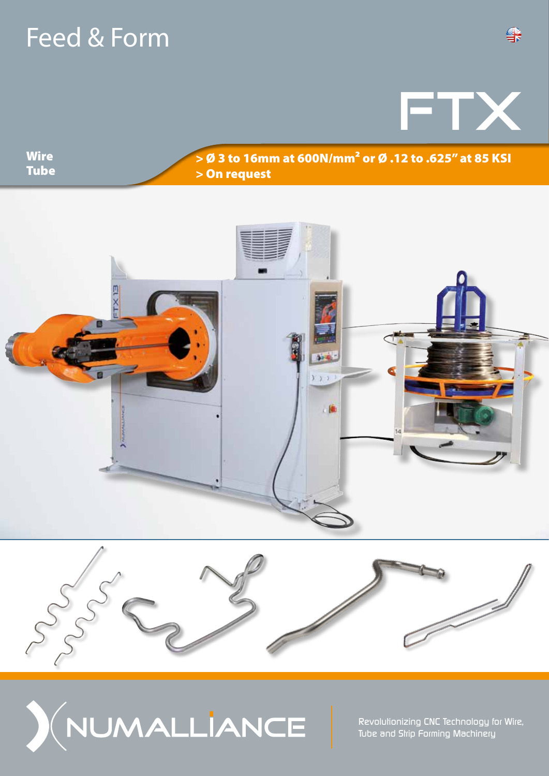# Feed & Form

FTX

**Wire Tube** 

## > Ø 3 to 16mm at 600N/mm² or Ø .12 to .625" at 85 KSI > On request







*Revolutionizing CNC Technology for Wire, Tube and Strip Forming Machinery*